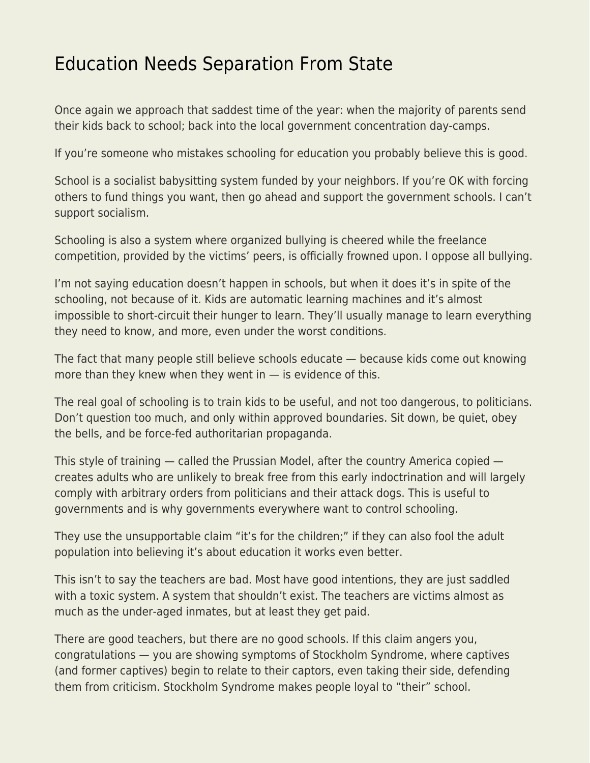## [Education Needs Separation From State](https://everything-voluntary.com/education-needs-separation-from-state)

Once again we approach that saddest time of the year: when the majority of parents send their kids back to school; back into the local government concentration day-camps.

If you're someone who mistakes schooling for education you probably believe this is good.

School is a socialist babysitting system funded by your neighbors. If you're OK with forcing others to fund things you want, then go ahead and support the government schools. I can't support socialism.

Schooling is also a system where organized bullying is cheered while the freelance competition, provided by the victims' peers, is officially frowned upon. I oppose all bullying.

I'm not saying education doesn't happen in schools, but when it does it's in spite of the schooling, not because of it. Kids are automatic learning machines and it's almost impossible to short-circuit their hunger to learn. They'll usually manage to learn everything they need to know, and more, even under the worst conditions.

The fact that many people still believe schools educate — because kids come out knowing more than they knew when they went in  $-$  is evidence of this.

The real goal of schooling is to train kids to be useful, and not too dangerous, to politicians. Don't question too much, and only within approved boundaries. Sit down, be quiet, obey the bells, and be force-fed authoritarian propaganda.

This style of training — called the Prussian Model, after the country America copied creates adults who are unlikely to break free from this early indoctrination and will largely comply with arbitrary orders from politicians and their attack dogs. This is useful to governments and is why governments everywhere want to control schooling.

They use the unsupportable claim "it's for the children;" if they can also fool the adult population into believing it's about education it works even better.

This isn't to say the teachers are bad. Most have good intentions, they are just saddled with a toxic system. A system that shouldn't exist. The teachers are victims almost as much as the under-aged inmates, but at least they get paid.

There are good teachers, but there are no good schools. If this claim angers you, congratulations — you are showing symptoms of Stockholm Syndrome, where captives (and former captives) begin to relate to their captors, even taking their side, defending them from criticism. Stockholm Syndrome makes people loyal to "their" school.